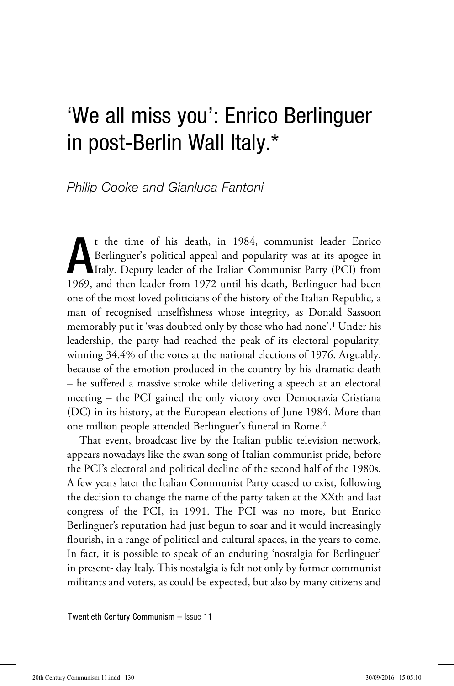## 'We all miss you': Enrico Berlinguer in post-Berlin Wall Italy.\*

## *Philip Cooke and Gianluca Fantoni*

A t the time of his death, in 1984, communist leader Enrico Berlinguer's political appeal and popularity was at its apogee in Italy. Deputy leader of the Italian Communist Party (PCI) from 1969, and then leader from 1972 until his death, Berlinguer had been one of the most loved politicians of the history of the Italian Republic, a man of recognised unselfishness whose integrity, as Donald Sassoon memorably put it 'was doubted only by those who had none'.1 Under his leadership, the party had reached the peak of its electoral popularity, winning 34.4% of the votes at the national elections of 1976. Arguably, because of the emotion produced in the country by his dramatic death – he suffered a massive stroke while delivering a speech at an electoral meeting – the PCI gained the only victory over Democrazia Cristiana (DC) in its history, at the European elections of June 1984. More than one million people attended Berlinguer's funeral in Rome.2

That event, broadcast live by the Italian public television network, appears nowadays like the swan song of Italian communist pride, before the PCI's electoral and political decline of the second half of the 1980s. A few years later the Italian Communist Party ceased to exist, following the decision to change the name of the party taken at the XXth and last congress of the PCI, in 1991. The PCI was no more, but Enrico Berlinguer's reputation had just begun to soar and it would increasingly flourish, in a range of political and cultural spaces, in the years to come. In fact, it is possible to speak of an enduring 'nostalgia for Berlinguer' in present- day Italy. This nostalgia is felt not only by former communist militants and voters, as could be expected, but also by many citizens and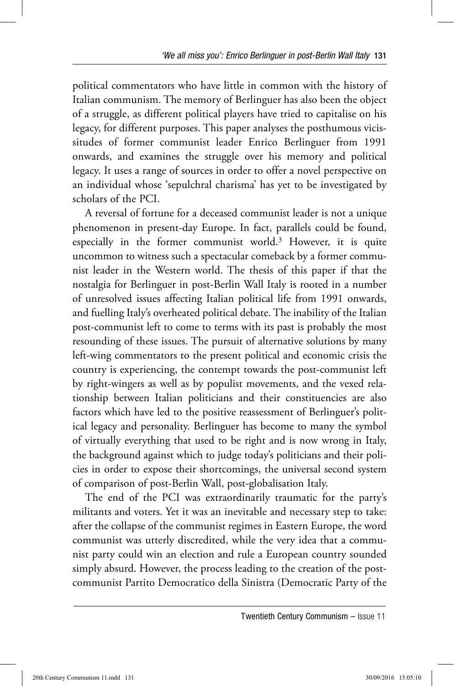political commentators who have little in common with the history of Italian communism. The memory of Berlinguer has also been the object of a struggle, as different political players have tried to capitalise on his legacy, for different purposes. This paper analyses the posthumous vicissitudes of former communist leader Enrico Berlinguer from 1991 onwards, and examines the struggle over his memory and political legacy. It uses a range of sources in order to offer a novel perspective on an individual whose 'sepulchral charisma' has yet to be investigated by scholars of the PCI.

A reversal of fortune for a deceased communist leader is not a unique phenomenon in present-day Europe. In fact, parallels could be found, especially in the former communist world.3 However, it is quite uncommon to witness such a spectacular comeback by a former communist leader in the Western world. The thesis of this paper if that the nostalgia for Berlinguer in post-Berlin Wall Italy is rooted in a number of unresolved issues affecting Italian political life from 1991 onwards, and fuelling Italy's overheated political debate. The inability of the Italian post-communist left to come to terms with its past is probably the most resounding of these issues. The pursuit of alternative solutions by many left-wing commentators to the present political and economic crisis the country is experiencing, the contempt towards the post-communist left by right-wingers as well as by populist movements, and the vexed relationship between Italian politicians and their constituencies are also factors which have led to the positive reassessment of Berlinguer's political legacy and personality. Berlinguer has become to many the symbol of virtually everything that used to be right and is now wrong in Italy, the background against which to judge today's politicians and their policies in order to expose their shortcomings, the universal second system of comparison of post-Berlin Wall, post-globalisation Italy.

The end of the PCI was extraordinarily traumatic for the party's militants and voters. Yet it was an inevitable and necessary step to take: after the collapse of the communist regimes in Eastern Europe, the word communist was utterly discredited, while the very idea that a communist party could win an election and rule a European country sounded simply absurd. However, the process leading to the creation of the postcommunist Partito Democratico della Sinistra (Democratic Party of the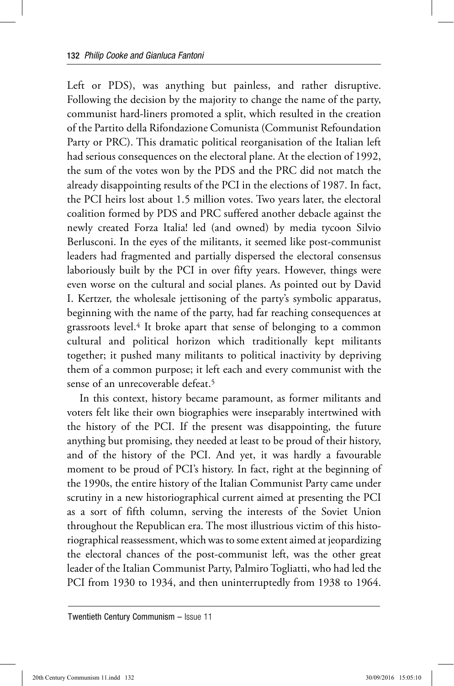Left or PDS), was anything but painless, and rather disruptive. Following the decision by the majority to change the name of the party, communist hard-liners promoted a split, which resulted in the creation of the Partito della Rifondazione Comunista (Communist Refoundation Party or PRC). This dramatic political reorganisation of the Italian left had serious consequences on the electoral plane. At the election of 1992, the sum of the votes won by the PDS and the PRC did not match the already disappointing results of the PCI in the elections of 1987. In fact, the PCI heirs lost about 1.5 million votes. Two years later, the electoral coalition formed by PDS and PRC suffered another debacle against the newly created Forza Italia! led (and owned) by media tycoon Silvio Berlusconi. In the eyes of the militants, it seemed like post-communist leaders had fragmented and partially dispersed the electoral consensus laboriously built by the PCI in over fifty years. However, things were even worse on the cultural and social planes. As pointed out by David I. Kertzer, the wholesale jettisoning of the party's symbolic apparatus, beginning with the name of the party, had far reaching consequences at grassroots level.4 It broke apart that sense of belonging to a common cultural and political horizon which traditionally kept militants together; it pushed many militants to political inactivity by depriving them of a common purpose; it left each and every communist with the sense of an unrecoverable defeat.5

In this context, history became paramount, as former militants and voters felt like their own biographies were inseparably intertwined with the history of the PCI. If the present was disappointing, the future anything but promising, they needed at least to be proud of their history, and of the history of the PCI. And yet, it was hardly a favourable moment to be proud of PCI's history. In fact, right at the beginning of the 1990s, the entire history of the Italian Communist Party came under scrutiny in a new historiographical current aimed at presenting the PCI as a sort of fifth column, serving the interests of the Soviet Union throughout the Republican era. The most illustrious victim of this historiographical reassessment, which was to some extent aimed at jeopardizing the electoral chances of the post-communist left, was the other great leader of the Italian Communist Party, Palmiro Togliatti, who had led the PCI from 1930 to 1934, and then uninterruptedly from 1938 to 1964.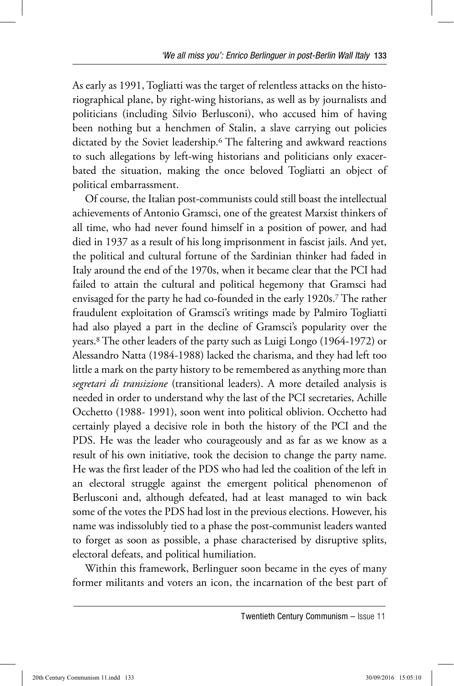As early as 1991, Togliatti was the target of relentless attacks on the historiographical plane, by right-wing historians, as well as by journalists and politicians (including Silvio Berlusconi), who accused him of having been nothing but a henchmen of Stalin, a slave carrying out policies dictated by the Soviet leadership.6 The faltering and awkward reactions to such allegations by left-wing historians and politicians only exacerbated the situation, making the once beloved Togliatti an object of political embarrassment.

Of course, the Italian post-communists could still boast the intellectual achievements of Antonio Gramsci, one of the greatest Marxist thinkers of all time, who had never found himself in a position of power, and had died in 1937 as a result of his long imprisonment in fascist jails. And yet, the political and cultural fortune of the Sardinian thinker had faded in Italy around the end of the 1970s, when it became clear that the PCI had failed to attain the cultural and political hegemony that Gramsci had envisaged for the party he had co-founded in the early 1920s.7 The rather fraudulent exploitation of Gramsci's writings made by Palmiro Togliatti had also played a part in the decline of Gramsci's popularity over the years.8 The other leaders of the party such as Luigi Longo (1964-1972) or Alessandro Natta (1984-1988) lacked the charisma, and they had left too little a mark on the party history to be remembered as anything more than *segretari di transizione* (transitional leaders). A more detailed analysis is needed in order to understand why the last of the PCI secretaries, Achille Occhetto (1988- 1991), soon went into political oblivion. Occhetto had certainly played a decisive role in both the history of the PCI and the PDS. He was the leader who courageously and as far as we know as a result of his own initiative, took the decision to change the party name. He was the first leader of the PDS who had led the coalition of the left in an electoral struggle against the emergent political phenomenon of Berlusconi and, although defeated, had at least managed to win back some of the votes the PDS had lost in the previous elections. However, his name was indissolubly tied to a phase the post-communist leaders wanted to forget as soon as possible, a phase characterised by disruptive splits, electoral defeats, and political humiliation.

Within this framework, Berlinguer soon became in the eyes of many former militants and voters an icon, the incarnation of the best part of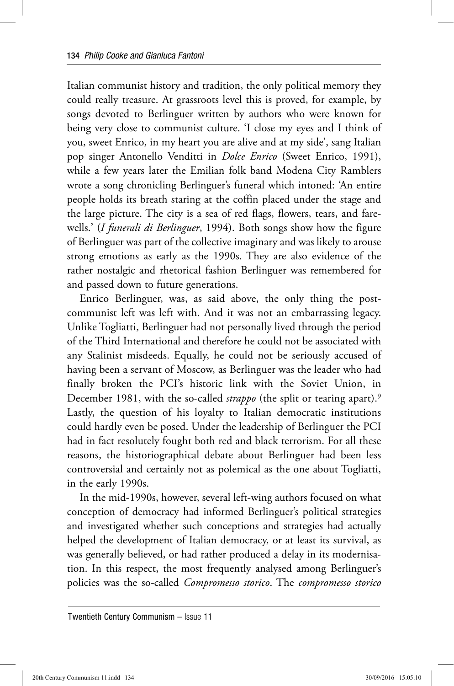Italian communist history and tradition, the only political memory they could really treasure. At grassroots level this is proved, for example, by songs devoted to Berlinguer written by authors who were known for being very close to communist culture. 'I close my eyes and I think of you, sweet Enrico, in my heart you are alive and at my side', sang Italian pop singer Antonello Venditti in *Dolce Enrico* (Sweet Enrico, 1991), while a few years later the Emilian folk band Modena City Ramblers wrote a song chronicling Berlinguer's funeral which intoned: 'An entire people holds its breath staring at the coffin placed under the stage and the large picture. The city is a sea of red flags, flowers, tears, and farewells.' (*I funerali di Berlinguer*, 1994). Both songs show how the figure of Berlinguer was part of the collective imaginary and was likely to arouse strong emotions as early as the 1990s. They are also evidence of the rather nostalgic and rhetorical fashion Berlinguer was remembered for and passed down to future generations.

Enrico Berlinguer, was, as said above, the only thing the postcommunist left was left with. And it was not an embarrassing legacy. Unlike Togliatti, Berlinguer had not personally lived through the period of the Third International and therefore he could not be associated with any Stalinist misdeeds. Equally, he could not be seriously accused of having been a servant of Moscow, as Berlinguer was the leader who had finally broken the PCI's historic link with the Soviet Union, in December 1981, with the so-called *strappo* (the split or tearing apart).9 Lastly, the question of his loyalty to Italian democratic institutions could hardly even be posed. Under the leadership of Berlinguer the PCI had in fact resolutely fought both red and black terrorism. For all these reasons, the historiographical debate about Berlinguer had been less controversial and certainly not as polemical as the one about Togliatti, in the early 1990s.

In the mid-1990s, however, several left-wing authors focused on what conception of democracy had informed Berlinguer's political strategies and investigated whether such conceptions and strategies had actually helped the development of Italian democracy, or at least its survival, as was generally believed, or had rather produced a delay in its modernisation. In this respect, the most frequently analysed among Berlinguer's policies was the so-called *Compromesso storico*. The *compromesso storico*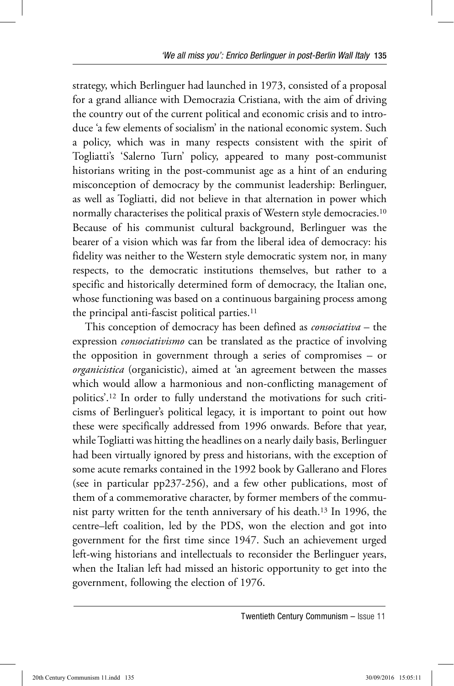strategy, which Berlinguer had launched in 1973, consisted of a proposal for a grand alliance with Democrazia Cristiana, with the aim of driving the country out of the current political and economic crisis and to introduce 'a few elements of socialism' in the national economic system. Such a policy, which was in many respects consistent with the spirit of Togliatti's 'Salerno Turn' policy, appeared to many post-communist historians writing in the post-communist age as a hint of an enduring misconception of democracy by the communist leadership: Berlinguer, as well as Togliatti, did not believe in that alternation in power which normally characterises the political praxis of Western style democracies.10 Because of his communist cultural background, Berlinguer was the bearer of a vision which was far from the liberal idea of democracy: his fidelity was neither to the Western style democratic system nor, in many respects, to the democratic institutions themselves, but rather to a specific and historically determined form of democracy, the Italian one, whose functioning was based on a continuous bargaining process among the principal anti-fascist political parties.11

This conception of democracy has been defined as *consociativa* – the expression *consociativismo* can be translated as the practice of involving the opposition in government through a series of compromises – or *organicistica* (organicistic), aimed at 'an agreement between the masses which would allow a harmonious and non-conflicting management of politics'.12 In order to fully understand the motivations for such criticisms of Berlinguer's political legacy, it is important to point out how these were specifically addressed from 1996 onwards. Before that year, while Togliatti was hitting the headlines on a nearly daily basis, Berlinguer had been virtually ignored by press and historians, with the exception of some acute remarks contained in the 1992 book by Gallerano and Flores (see in particular pp237-256), and a few other publications, most of them of a commemorative character, by former members of the communist party written for the tenth anniversary of his death.13 In 1996, the centre–left coalition, led by the PDS, won the election and got into government for the first time since 1947. Such an achievement urged left-wing historians and intellectuals to reconsider the Berlinguer years, when the Italian left had missed an historic opportunity to get into the government, following the election of 1976.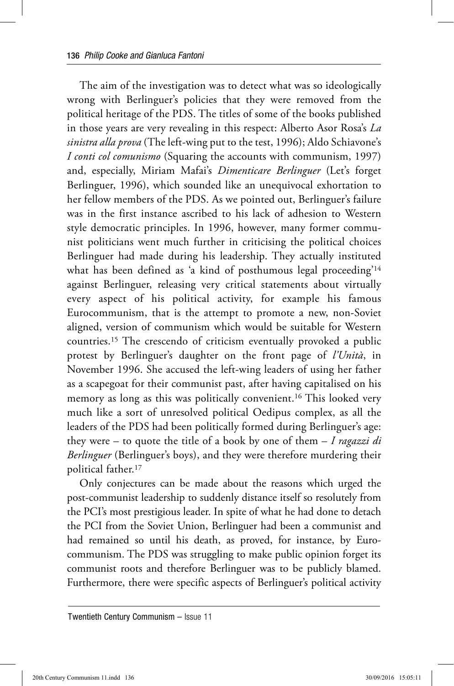The aim of the investigation was to detect what was so ideologically wrong with Berlinguer's policies that they were removed from the political heritage of the PDS. The titles of some of the books published in those years are very revealing in this respect: Alberto Asor Rosa's *La sinistra alla prova* (The left-wing put to the test, 1996); Aldo Schiavone's *I conti col comunismo* (Squaring the accounts with communism, 1997) and, especially, Miriam Mafai's *Dimenticare Berlinguer* (Let's forget Berlinguer, 1996), which sounded like an unequivocal exhortation to her fellow members of the PDS. As we pointed out, Berlinguer's failure was in the first instance ascribed to his lack of adhesion to Western style democratic principles. In 1996, however, many former communist politicians went much further in criticising the political choices Berlinguer had made during his leadership. They actually instituted what has been defined as 'a kind of posthumous legal proceeding'14 against Berlinguer, releasing very critical statements about virtually every aspect of his political activity, for example his famous Eurocommunism, that is the attempt to promote a new, non-Soviet aligned, version of communism which would be suitable for Western countries.15 The crescendo of criticism eventually provoked a public protest by Berlinguer's daughter on the front page of *l'Unità*, in November 1996. She accused the left-wing leaders of using her father as a scapegoat for their communist past, after having capitalised on his memory as long as this was politically convenient.16 This looked very much like a sort of unresolved political Oedipus complex, as all the leaders of the PDS had been politically formed during Berlinguer's age: they were – to quote the title of a book by one of them – *I ragazzi di Berlinguer* (Berlinguer's boys), and they were therefore murdering their political father.17

Only conjectures can be made about the reasons which urged the post-communist leadership to suddenly distance itself so resolutely from the PCI's most prestigious leader. In spite of what he had done to detach the PCI from the Soviet Union, Berlinguer had been a communist and had remained so until his death, as proved, for instance, by Eurocommunism. The PDS was struggling to make public opinion forget its communist roots and therefore Berlinguer was to be publicly blamed. Furthermore, there were specific aspects of Berlinguer's political activity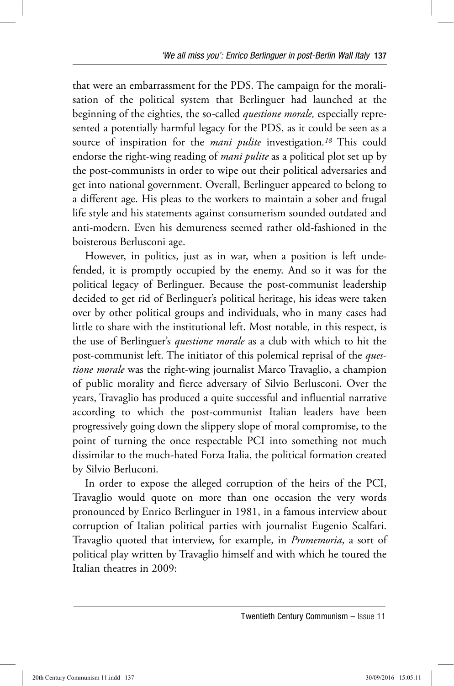that were an embarrassment for the PDS. The campaign for the moralisation of the political system that Berlinguer had launched at the beginning of the eighties, the so-called *questione morale,* especially represented a potentially harmful legacy for the PDS, as it could be seen as a source of inspiration for the *mani pulite* investigation*.18* This could endorse the right-wing reading of *mani pulite* as a political plot set up by the post-communists in order to wipe out their political adversaries and get into national government. Overall, Berlinguer appeared to belong to a different age. His pleas to the workers to maintain a sober and frugal life style and his statements against consumerism sounded outdated and anti-modern. Even his demureness seemed rather old-fashioned in the boisterous Berlusconi age.

However, in politics, just as in war, when a position is left undefended, it is promptly occupied by the enemy. And so it was for the political legacy of Berlinguer. Because the post-communist leadership decided to get rid of Berlinguer's political heritage, his ideas were taken over by other political groups and individuals, who in many cases had little to share with the institutional left. Most notable, in this respect, is the use of Berlinguer's *questione morale* as a club with which to hit the post-communist left. The initiator of this polemical reprisal of the *questione morale* was the right-wing journalist Marco Travaglio, a champion of public morality and fierce adversary of Silvio Berlusconi. Over the years, Travaglio has produced a quite successful and influential narrative according to which the post-communist Italian leaders have been progressively going down the slippery slope of moral compromise, to the point of turning the once respectable PCI into something not much dissimilar to the much-hated Forza Italia, the political formation created by Silvio Berluconi.

In order to expose the alleged corruption of the heirs of the PCI, Travaglio would quote on more than one occasion the very words pronounced by Enrico Berlinguer in 1981, in a famous interview about corruption of Italian political parties with journalist Eugenio Scalfari. Travaglio quoted that interview, for example, in *Promemoria*, a sort of political play written by Travaglio himself and with which he toured the Italian theatres in 2009: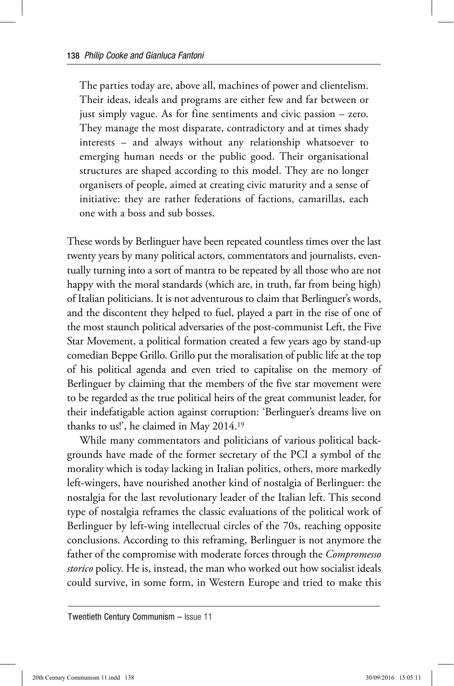The parties today are, above all, machines of power and clientelism. Their ideas, ideals and programs are either few and far between or just simply vague. As for fine sentiments and civic passion – zero. They manage the most disparate, contradictory and at times shady interests – and always without any relationship whatsoever to emerging human needs or the public good. Their organisational structures are shaped according to this model. They are no longer organisers of people, aimed at creating civic maturity and a sense of initiative: they are rather federations of factions, camarillas, each one with a boss and sub bosses.

These words by Berlinguer have been repeated countless times over the last twenty years by many political actors, commentators and journalists, eventually turning into a sort of mantra to be repeated by all those who are not happy with the moral standards (which are, in truth, far from being high) of Italian politicians. It is not adventurous to claim that Berlinguer's words, and the discontent they helped to fuel, played a part in the rise of one of the most staunch political adversaries of the post-communist Left, the Five Star Movement, a political formation created a few years ago by stand-up comedian Beppe Grillo. Grillo put the moralisation of public life at the top of his political agenda and even tried to capitalise on the memory of Berlinguer by claiming that the members of the five star movement were to be regarded as the true political heirs of the great communist leader, for their indefatigable action against corruption: 'Berlinguer's dreams live on thanks to us!', he claimed in May 2014.19

While many commentators and politicians of various political backgrounds have made of the former secretary of the PCI a symbol of the morality which is today lacking in Italian politics, others, more markedly left-wingers, have nourished another kind of nostalgia of Berlinguer: the nostalgia for the last revolutionary leader of the Italian left. This second type of nostalgia reframes the classic evaluations of the political work of Berlinguer by left-wing intellectual circles of the 70s, reaching opposite conclusions. According to this reframing, Berlinguer is not anymore the father of the compromise with moderate forces through the *Compromesso storico* policy. He is, instead, the man who worked out how socialist ideals could survive, in some form, in Western Europe and tried to make this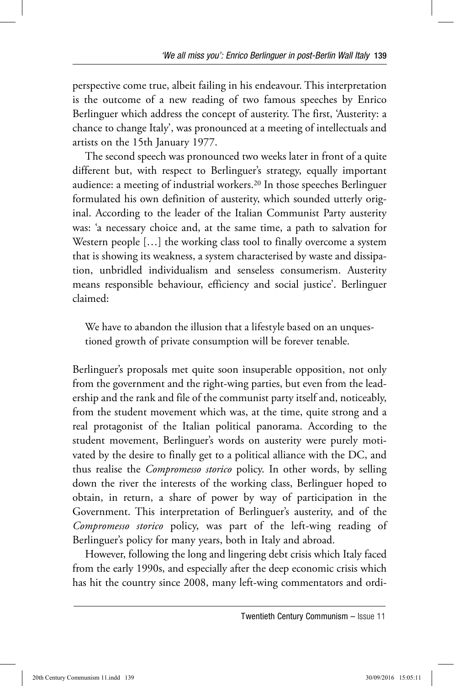perspective come true, albeit failing in his endeavour. This interpretation is the outcome of a new reading of two famous speeches by Enrico Berlinguer which address the concept of austerity. The first, 'Austerity: a chance to change Italy', was pronounced at a meeting of intellectuals and artists on the 15th January 1977.

The second speech was pronounced two weeks later in front of a quite different but, with respect to Berlinguer's strategy, equally important audience: a meeting of industrial workers.20 In those speeches Berlinguer formulated his own definition of austerity, which sounded utterly original. According to the leader of the Italian Communist Party austerity was: 'a necessary choice and, at the same time, a path to salvation for Western people [...] the working class tool to finally overcome a system that is showing its weakness, a system characterised by waste and dissipation, unbridled individualism and senseless consumerism. Austerity means responsible behaviour, efficiency and social justice'. Berlinguer claimed:

We have to abandon the illusion that a lifestyle based on an unquestioned growth of private consumption will be forever tenable.

Berlinguer's proposals met quite soon insuperable opposition, not only from the government and the right-wing parties, but even from the leadership and the rank and file of the communist party itself and, noticeably, from the student movement which was, at the time, quite strong and a real protagonist of the Italian political panorama. According to the student movement, Berlinguer's words on austerity were purely motivated by the desire to finally get to a political alliance with the DC, and thus realise the *Compromesso storico* policy. In other words, by selling down the river the interests of the working class, Berlinguer hoped to obtain, in return, a share of power by way of participation in the Government. This interpretation of Berlinguer's austerity, and of the *Compromesso storico* policy, was part of the left-wing reading of Berlinguer's policy for many years, both in Italy and abroad.

However, following the long and lingering debt crisis which Italy faced from the early 1990s, and especially after the deep economic crisis which has hit the country since 2008, many left-wing commentators and ordi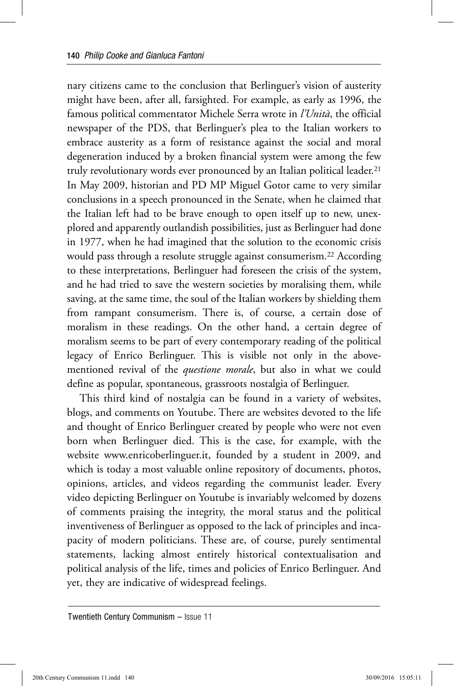nary citizens came to the conclusion that Berlinguer's vision of austerity might have been, after all, farsighted. For example, as early as 1996, the famous political commentator Michele Serra wrote in *l'Unità*, the official newspaper of the PDS, that Berlinguer's plea to the Italian workers to embrace austerity as a form of resistance against the social and moral degeneration induced by a broken financial system were among the few truly revolutionary words ever pronounced by an Italian political leader.21 In May 2009, historian and PD MP Miguel Gotor came to very similar conclusions in a speech pronounced in the Senate, when he claimed that the Italian left had to be brave enough to open itself up to new, unexplored and apparently outlandish possibilities, just as Berlinguer had done in 1977, when he had imagined that the solution to the economic crisis would pass through a resolute struggle against consumerism.22 According to these interpretations, Berlinguer had foreseen the crisis of the system, and he had tried to save the western societies by moralising them, while saving, at the same time, the soul of the Italian workers by shielding them from rampant consumerism. There is, of course, a certain dose of moralism in these readings. On the other hand, a certain degree of moralism seems to be part of every contemporary reading of the political legacy of Enrico Berlinguer. This is visible not only in the abovementioned revival of the *questione morale*, but also in what we could define as popular, spontaneous, grassroots nostalgia of Berlinguer.

This third kind of nostalgia can be found in a variety of websites, blogs, and comments on Youtube. There are websites devoted to the life and thought of Enrico Berlinguer created by people who were not even born when Berlinguer died. This is the case, for example, with the website www.enricoberlinguer.it, founded by a student in 2009, and which is today a most valuable online repository of documents, photos, opinions, articles, and videos regarding the communist leader. Every video depicting Berlinguer on Youtube is invariably welcomed by dozens of comments praising the integrity, the moral status and the political inventiveness of Berlinguer as opposed to the lack of principles and incapacity of modern politicians. These are, of course, purely sentimental statements, lacking almost entirely historical contextualisation and political analysis of the life, times and policies of Enrico Berlinguer. And yet, they are indicative of widespread feelings.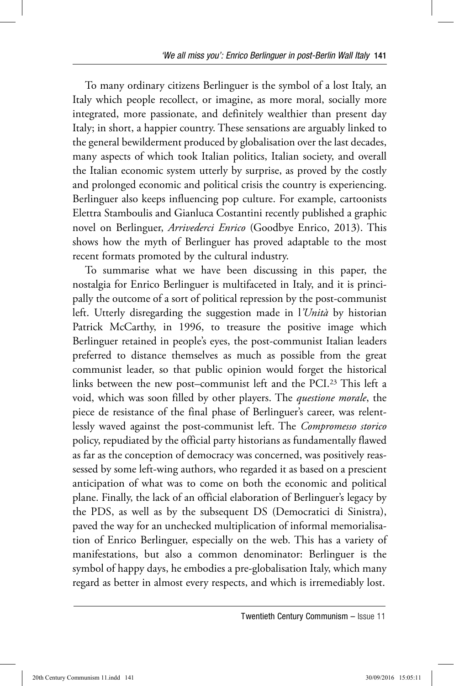To many ordinary citizens Berlinguer is the symbol of a lost Italy, an Italy which people recollect, or imagine, as more moral, socially more integrated, more passionate, and definitely wealthier than present day Italy; in short, a happier country. These sensations are arguably linked to the general bewilderment produced by globalisation over the last decades, many aspects of which took Italian politics, Italian society, and overall the Italian economic system utterly by surprise, as proved by the costly and prolonged economic and political crisis the country is experiencing. Berlinguer also keeps influencing pop culture. For example, cartoonists Elettra Stamboulis and Gianluca Costantini recently published a graphic novel on Berlinguer, *Arrivederci Enrico* (Goodbye Enrico, 2013). This shows how the myth of Berlinguer has proved adaptable to the most recent formats promoted by the cultural industry.

To summarise what we have been discussing in this paper, the nostalgia for Enrico Berlinguer is multifaceted in Italy, and it is principally the outcome of a sort of political repression by the post-communist left. Utterly disregarding the suggestion made in l*'Unità* by historian Patrick McCarthy, in 1996, to treasure the positive image which Berlinguer retained in people's eyes, the post-communist Italian leaders preferred to distance themselves as much as possible from the great communist leader, so that public opinion would forget the historical links between the new post–communist left and the PCI.23 This left a void, which was soon filled by other players. The *questione morale*, the piece de resistance of the final phase of Berlinguer's career, was relentlessly waved against the post-communist left. The *Compromesso storico* policy, repudiated by the official party historians as fundamentally flawed as far as the conception of democracy was concerned, was positively reassessed by some left-wing authors, who regarded it as based on a prescient anticipation of what was to come on both the economic and political plane. Finally, the lack of an official elaboration of Berlinguer's legacy by the PDS, as well as by the subsequent DS (Democratici di Sinistra), paved the way for an unchecked multiplication of informal memorialisation of Enrico Berlinguer, especially on the web. This has a variety of manifestations, but also a common denominator: Berlinguer is the symbol of happy days, he embodies a pre-globalisation Italy, which many regard as better in almost every respects, and which is irremediably lost.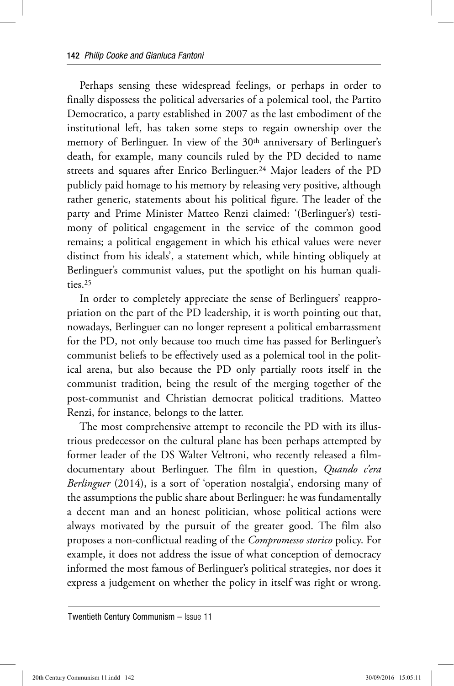Perhaps sensing these widespread feelings, or perhaps in order to finally dispossess the political adversaries of a polemical tool, the Partito Democratico, a party established in 2007 as the last embodiment of the institutional left, has taken some steps to regain ownership over the memory of Berlinguer. In view of the 30<sup>th</sup> anniversary of Berlinguer's death, for example, many councils ruled by the PD decided to name streets and squares after Enrico Berlinguer.24 Major leaders of the PD publicly paid homage to his memory by releasing very positive, although rather generic, statements about his political figure. The leader of the party and Prime Minister Matteo Renzi claimed: '(Berlinguer's) testimony of political engagement in the service of the common good remains; a political engagement in which his ethical values were never distinct from his ideals', a statement which, while hinting obliquely at Berlinguer's communist values, put the spotlight on his human qualities.25

In order to completely appreciate the sense of Berlinguers' reappropriation on the part of the PD leadership, it is worth pointing out that, nowadays, Berlinguer can no longer represent a political embarrassment for the PD, not only because too much time has passed for Berlinguer's communist beliefs to be effectively used as a polemical tool in the political arena, but also because the PD only partially roots itself in the communist tradition, being the result of the merging together of the post-communist and Christian democrat political traditions. Matteo Renzi, for instance, belongs to the latter.

The most comprehensive attempt to reconcile the PD with its illustrious predecessor on the cultural plane has been perhaps attempted by former leader of the DS Walter Veltroni, who recently released a filmdocumentary about Berlinguer. The film in question, *Quando c'era Berlinguer* (2014), is a sort of 'operation nostalgia', endorsing many of the assumptions the public share about Berlinguer: he was fundamentally a decent man and an honest politician, whose political actions were always motivated by the pursuit of the greater good. The film also proposes a non-conflictual reading of the *Compromesso storico* policy. For example, it does not address the issue of what conception of democracy informed the most famous of Berlinguer's political strategies, nor does it express a judgement on whether the policy in itself was right or wrong.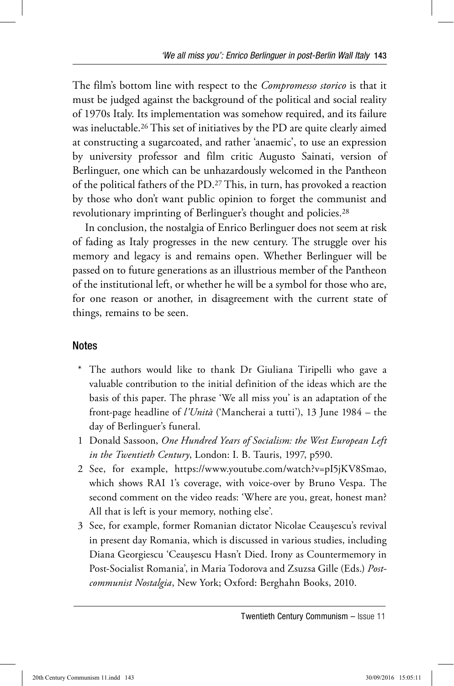The film's bottom line with respect to the *Compromesso storico* is that it must be judged against the background of the political and social reality of 1970s Italy. Its implementation was somehow required, and its failure was ineluctable.26 This set of initiatives by the PD are quite clearly aimed at constructing a sugarcoated, and rather 'anaemic', to use an expression by university professor and film critic Augusto Sainati, version of Berlinguer, one which can be unhazardously welcomed in the Pantheon of the political fathers of the PD.27 This, in turn, has provoked a reaction by those who don't want public opinion to forget the communist and revolutionary imprinting of Berlinguer's thought and policies.<sup>28</sup>

In conclusion, the nostalgia of Enrico Berlinguer does not seem at risk of fading as Italy progresses in the new century. The struggle over his memory and legacy is and remains open. Whether Berlinguer will be passed on to future generations as an illustrious member of the Pantheon of the institutional left, or whether he will be a symbol for those who are, for one reason or another, in disagreement with the current state of things, remains to be seen.

## **Notes**

- \* The authors would like to thank Dr Giuliana Tiripelli who gave a valuable contribution to the initial definition of the ideas which are the basis of this paper. The phrase 'We all miss you' is an adaptation of the front-page headline of *l'Unità* ('Mancherai a tutti'), 13 June 1984 – the day of Berlinguer's funeral.
- 1 Donald Sassoon, *One Hundred Years of Socialism: the West European Left in the Twentieth Century*, London: I. B. Tauris, 1997, p590.
- 2 See, for example, https://www.youtube.com/watch?v=pI5jKV8Smao, which shows RAI 1's coverage, with voice-over by Bruno Vespa. The second comment on the video reads: 'Where are you, great, honest man? All that is left is your memory, nothing else'.
- 3 See, for example, former Romanian dictator Nicolae Ceaușescu's revival in present day Romania, which is discussed in various studies, including Diana Georgiescu 'Ceauşescu Hasn't Died. Irony as Countermemory in Post-Socialist Romania', in Maria Todorova and Zsuzsa Gille (Eds.) *Postcommunist Nostalgia*, New York; Oxford: Berghahn Books, 2010.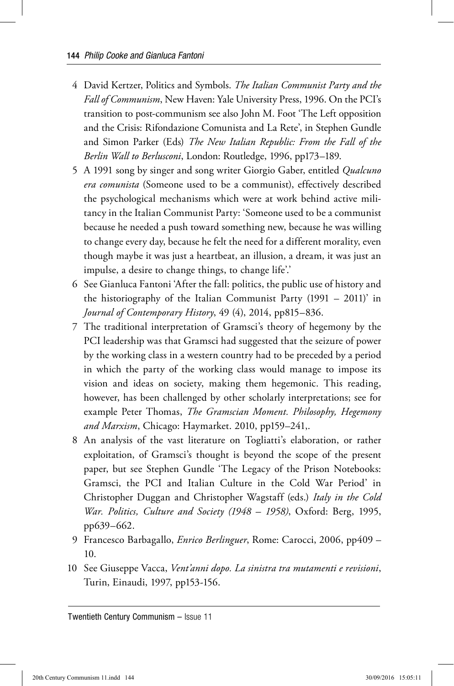- 4 David Kertzer, Politics and Symbols. *The Italian Communist Party and the Fall of Communism*, New Haven: Yale University Press, 1996. On the PCI's transition to post-communism see also John M. Foot 'The Left opposition and the Crisis: Rifondazione Comunista and La Rete', in Stephen Gundle and Simon Parker (Eds) *The New Italian Republic: From the Fall of the Berlin Wall to Berlusconi*, London: Routledge, 1996, pp173–189.
- 5 A 1991 song by singer and song writer Giorgio Gaber, entitled *Qualcuno era comunista* (Someone used to be a communist), effectively described the psychological mechanisms which were at work behind active militancy in the Italian Communist Party: 'Someone used to be a communist because he needed a push toward something new, because he was willing to change every day, because he felt the need for a different morality, even though maybe it was just a heartbeat, an illusion, a dream, it was just an impulse, a desire to change things, to change life'.'
- 6 See Gianluca Fantoni 'After the fall: politics, the public use of history and the historiography of the Italian Communist Party (1991 – 2011)' in *Journal of Contemporary History*, 49 (4), 2014, pp815–836.
- 7 The traditional interpretation of Gramsci's theory of hegemony by the PCI leadership was that Gramsci had suggested that the seizure of power by the working class in a western country had to be preceded by a period in which the party of the working class would manage to impose its vision and ideas on society, making them hegemonic. This reading, however, has been challenged by other scholarly interpretations; see for example Peter Thomas, *The Gramscian Moment. Philosophy, Hegemony and Marxism*, Chicago: Haymarket. 2010, pp159–241,.
- 8 An analysis of the vast literature on Togliatti's elaboration, or rather exploitation, of Gramsci's thought is beyond the scope of the present paper, but see Stephen Gundle 'The Legacy of the Prison Notebooks: Gramsci, the PCI and Italian Culture in the Cold War Period' in Christopher Duggan and Christopher Wagstaff (eds.) *Italy in the Cold War. Politics, Culture and Society (1948 – 1958)*, Oxford: Berg, 1995, pp639–662.
- 9 Francesco Barbagallo, *Enrico Berlinguer*, Rome: Carocci, 2006, pp409 10.
- 10 See Giuseppe Vacca, *Vent'anni dopo. La sinistra tra mutamenti e revisioni*, Turin, Einaudi, 1997, pp153-156.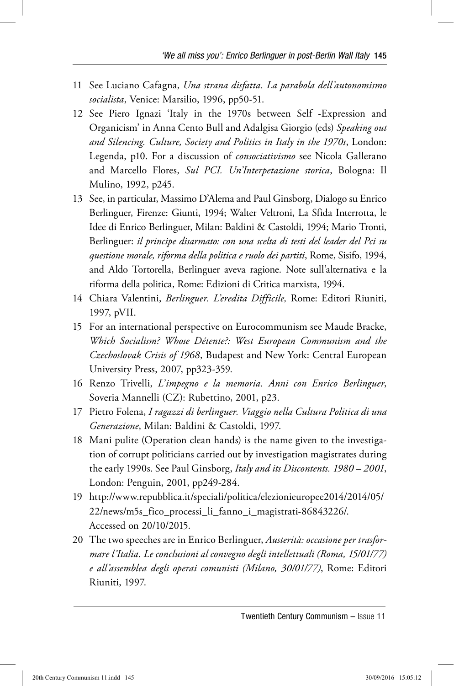- 11 See Luciano Cafagna, *Una strana disfatta. La parabola dell'autonomismo socialista*, Venice: Marsilio, 1996, pp50-51.
- 12 See Piero Ignazi 'Italy in the 1970s between Self -Expression and Organicism' in Anna Cento Bull and Adalgisa Giorgio (eds) *Speaking out and Silencing. Culture, Society and Politics in Italy in the 1970s*, London: Legenda, p10. For a discussion of *consociativismo* see Nicola Gallerano and Marcello Flores, *Sul PCI. Un'Interpetazione storica*, Bologna: Il Mulino, 1992, p245.
- 13 See, in particular, Massimo D'Alema and Paul Ginsborg, Dialogo su Enrico Berlinguer, Firenze: Giunti, 1994; Walter Veltroni, La Sfida Interrotta, le Idee di Enrico Berlinguer, Milan: Baldini & Castoldi, 1994; Mario Tronti, Berlinguer: *il principe disarmato: con una scelta di testi del leader del Pci su questione morale, riforma della politica e ruolo dei partiti*, Rome, Sisifo, 1994, and Aldo Tortorella, Berlinguer aveva ragione. Note sull'alternativa e la riforma della politica, Rome: Edizioni di Critica marxista, 1994.
- 14 Chiara Valentini, *Berlinguer. L'eredita Difficile,* Rome: Editori Riuniti, 1997, pVII.
- 15 For an international perspective on Eurocommunism see Maude Bracke, *Which Socialism? Whose Détente?: West European Communism and the Czechoslovak Crisis of 1968*, Budapest and New York: Central European University Press, 2007, pp323-359.
- 16 Renzo Trivelli, *L'impegno e la memoria. Anni con Enrico Berlinguer*, Soveria Mannelli (CZ): Rubettino, 2001, p23.
- 17 Pietro Folena, *I ragazzi di berlinguer. Viaggio nella Cultura Politica di una Generazione*, Milan: Baldini & Castoldi, 1997.
- 18 Mani pulite (Operation clean hands) is the name given to the investigation of corrupt politicians carried out by investigation magistrates during the early 1990s. See Paul Ginsborg, *Italy and its Discontents. 1980 – 2001*, London: Penguin, 2001, pp249-284.
- 19 http://www.repubblica.it/speciali/politica/elezionieuropee2014/2014/05/ 22/news/m5s\_fico\_processi\_li\_fanno\_i\_magistrati-86843226/. Accessed on 20/10/2015.
- 20 The two speeches are in Enrico Berlinguer, *Austerità: occasione per trasformare l'Italia. Le conclusioni al convegno degli intellettuali (Roma, 15/01/77) e all'assemblea degli operai comunisti (Milano, 30/01/77)*, Rome: Editori Riuniti, 1997.